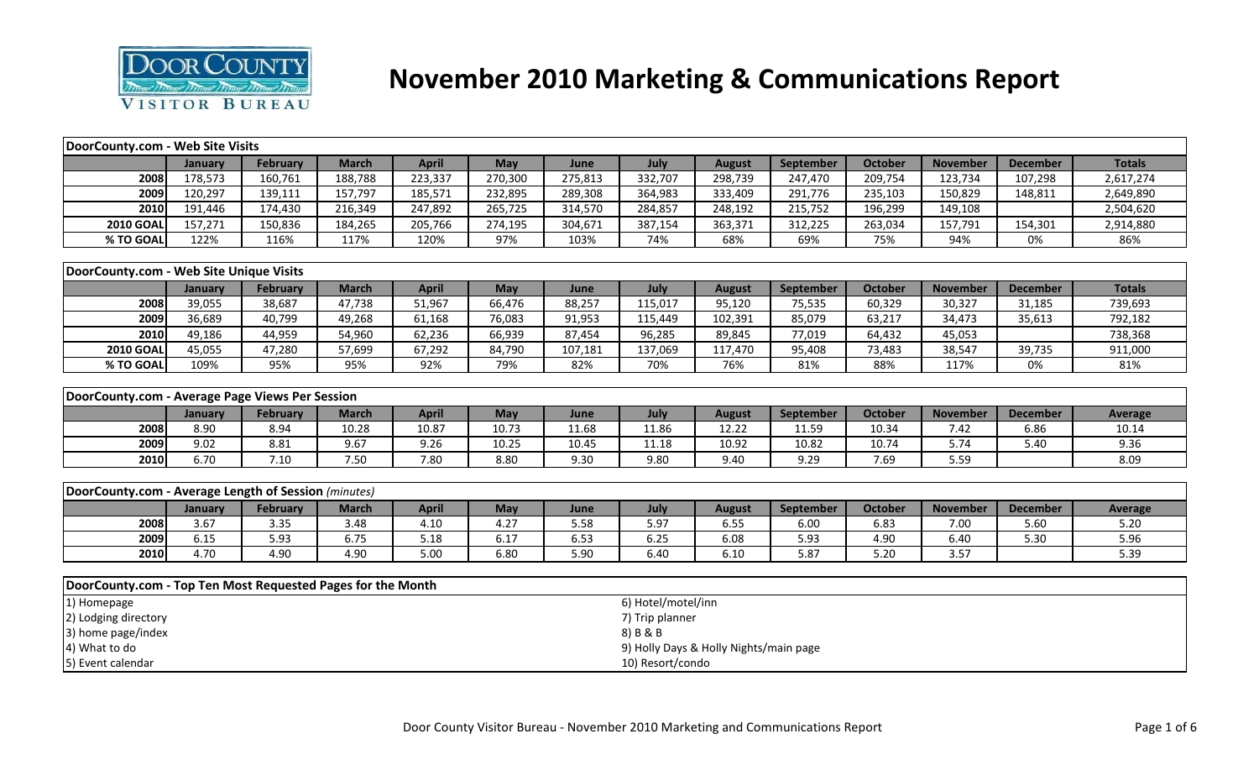

# **November 2010 Marketing & Communications Report**

| DoorCounty.com - Web Site Visits                            |         |                 |              |              |         |         |                    |                                        |           |                |                 |                 |                   |
|-------------------------------------------------------------|---------|-----------------|--------------|--------------|---------|---------|--------------------|----------------------------------------|-----------|----------------|-----------------|-----------------|-------------------|
|                                                             | January | February        | <b>March</b> | <b>April</b> | May     | June    | July               | <b>August</b>                          | September | <b>October</b> | <b>November</b> | <b>December</b> | <b>Totals</b>     |
| 2008                                                        | 178,573 | 160,761         | 188,788      | 223,337      | 270,300 | 275,813 | 332,707            | 298,739                                | 247,470   | 209,754        | 123,734         | 107,298         | 2,617,274         |
| 2009                                                        | 120,297 | 139,111         | 157,797      | 185,571      | 232,895 | 289,308 | 364,983            | 333,409                                | 291,776   | 235,103        | 150,829         | 148,811         | 2,649,890         |
| 2010                                                        | 191,446 | 174,430         | 216,349      | 247,892      | 265,725 | 314,570 | 284,857            | 248,192                                | 215,752   | 196,299        | 149,108         |                 | 2,504,620         |
| <b>2010 GOAL</b>                                            | 157,271 | 150,836         | 184,265      | 205,766      | 274,195 | 304,671 | 387,154            | 363,371                                | 312,225   | 263,034        | 157,791         | 154,301         | 2,914,880         |
| % TO GOAL                                                   | 122%    | 116%            | 117%         | 120%         | 97%     | 103%    | 74%                | 68%                                    | 69%       | 75%            | 94%             | 0%              | 86%               |
|                                                             |         |                 |              |              |         |         |                    |                                        |           |                |                 |                 |                   |
| DoorCounty.com - Web Site Unique Visits                     |         |                 |              |              |         |         |                    |                                        |           |                |                 |                 |                   |
|                                                             | January | <b>February</b> | <b>March</b> | <b>April</b> | May     | June    | July               | <b>August</b>                          | September | <b>October</b> | <b>November</b> | <b>December</b> | <b>Totals</b>     |
| 2008                                                        | 39,055  | 38,687          | 47,738       | 51,967       | 66,476  | 88,257  | 115,017            | 95,120                                 | 75,535    | 60,329         | 30,327          | 31,185          | 739,693           |
| 2009                                                        | 36,689  | 40,799          | 49,268       | 61,168       | 76,083  | 91,953  | 115,449            | 102,391                                | 85,079    | 63,217         | 34,473          | 35,613          | 792,182           |
| 2010                                                        | 49,186  | 44,959          | 54,960       | 62,236       | 66,939  | 87,454  | 96,285             | 89,845                                 | 77,019    | 64,432         | 45,053          |                 | 738,368           |
| <b>2010 GOAL</b>                                            | 45,055  | 47,280          | 57,699       | 67,292       | 84,790  | 107,181 | 137,069            | 117,470                                | 95,408    | 73,483         | 38,547          | 39,735          | 911,000           |
| % TO GOAL                                                   | 109%    | 95%             | 95%          | 92%          | 79%     | 82%     | 70%                | 76%                                    | 81%       | 88%            | 117%            | 0%              | 81%               |
|                                                             |         |                 |              |              |         |         |                    |                                        |           |                |                 |                 |                   |
| DoorCounty.com - Average Page Views Per Session             |         |                 |              |              |         |         |                    |                                        |           |                |                 |                 |                   |
|                                                             | January | <b>February</b> | <b>March</b> | <b>April</b> | May     | June    | July               | <b>August</b>                          | September | <b>October</b> | <b>November</b> | <b>December</b> | <b>Average</b>    |
| 2008                                                        | 8.90    | 8.94            | 10.28        | 10.87        | 10.73   | 11.68   | 11.86              | 12.22                                  | 11.59     | 10.34          | 7.42            | 6.86            | 10.14             |
| 2009                                                        | 9.02    | 8.81            | 9.67         | 9.26         | 10.25   | 10.45   | 11.18              | 10.92                                  | 10.82     | 10.74          | 5.74            | 5.40            | 9.36              |
| 2010                                                        | 6.70    | 7.10            | 7.50         | 7.80         | 8.80    | 9.30    | 9.80               | 9.40                                   | 9.29      | 7.69           | 5.59            |                 | 8.09              |
|                                                             |         |                 |              |              |         |         |                    |                                        |           |                |                 |                 |                   |
| DoorCounty.com - Average Length of Session (minutes)        |         |                 |              |              |         |         |                    |                                        |           |                |                 |                 |                   |
|                                                             | January | <b>February</b> | <b>March</b> | <b>April</b> | May     | June    | July               | <b>August</b>                          | September | <b>October</b> | <b>November</b> | <b>December</b> | <b>Average</b>    |
| 2008                                                        | 3.67    | 3.35            | 3.48         | 4.10         | 4.27    | 5.58    | 5.97               | 6.55                                   | 6.00      | 6.83           | 7.00            | 5.60            | 5.20              |
| 2009                                                        | 6.15    | 5.93            | 6.75         | 5.18         | 6.17    | 6.53    | 6.25               | 6.08                                   | 5.93      | 4.90           | 6.40            | 5.30            | $5.\overline{96}$ |
| 2010                                                        | 4.70    | 4.90            | 4.90         | 5.00         | 6.80    | 5.90    | 6.40               | 6.10                                   | 5.87      | 5.20           | 3.57            |                 | 5.39              |
|                                                             |         |                 |              |              |         |         |                    |                                        |           |                |                 |                 |                   |
| DoorCounty.com - Top Ten Most Requested Pages for the Month |         |                 |              |              |         |         |                    |                                        |           |                |                 |                 |                   |
| 1) Homepage                                                 |         |                 |              |              |         |         | 6) Hotel/motel/inn |                                        |           |                |                 |                 |                   |
| 2) Lodging directory                                        |         |                 |              |              |         |         | 7) Trip planner    |                                        |           |                |                 |                 |                   |
| 3) home page/index                                          |         |                 |              |              |         |         | 8) B & B           |                                        |           |                |                 |                 |                   |
| 4) What to do                                               |         |                 |              |              |         |         |                    | 9) Holly Days & Holly Nights/main page |           |                |                 |                 |                   |
| 5) Event calendar                                           |         |                 |              |              |         |         | 10) Resort/condo   |                                        |           |                |                 |                 |                   |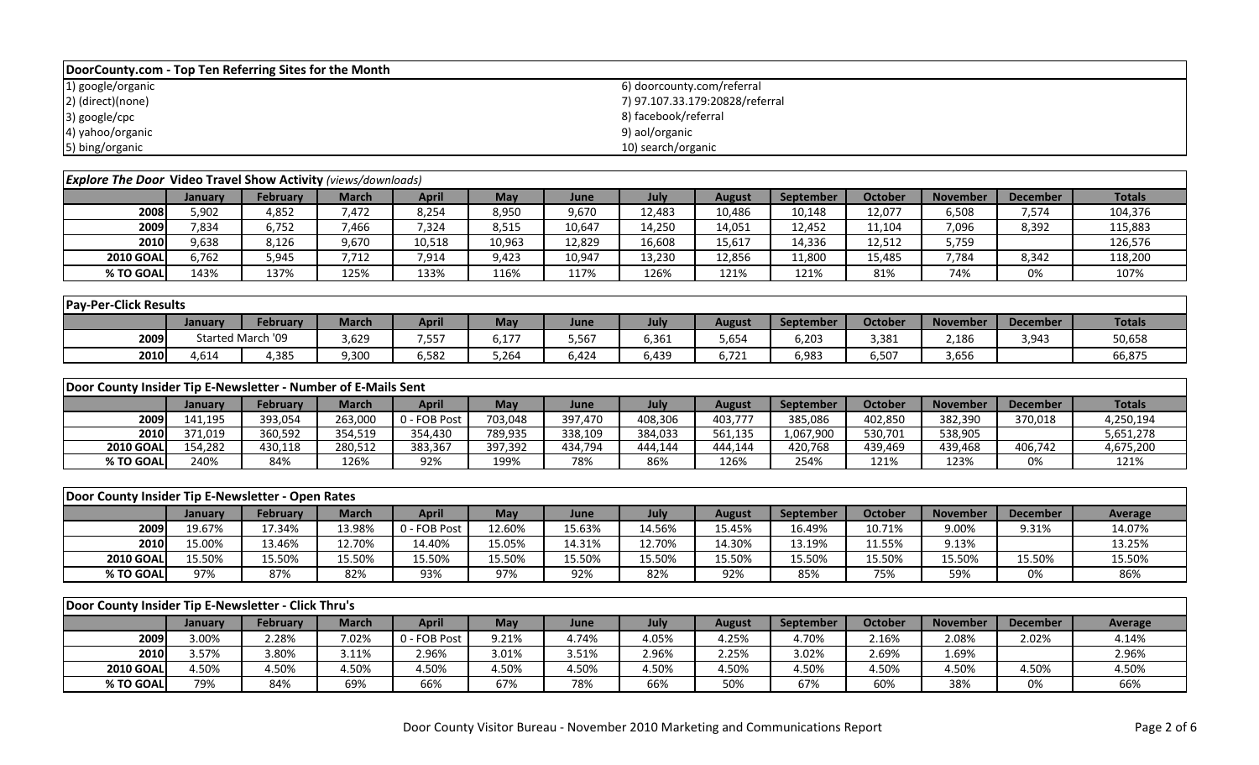| DoorCounty.com - Top Ten Referring Sites for the Month               |         |                   |              |              |         |         |                            |                                 |           |                |                 |                 |                |
|----------------------------------------------------------------------|---------|-------------------|--------------|--------------|---------|---------|----------------------------|---------------------------------|-----------|----------------|-----------------|-----------------|----------------|
| 1) google/organic                                                    |         |                   |              |              |         |         | 6) doorcounty.com/referral |                                 |           |                |                 |                 |                |
| 2) (direct)(none)                                                    |         |                   |              |              |         |         |                            | 7) 97.107.33.179:20828/referral |           |                |                 |                 |                |
| 3) google/cpc                                                        |         |                   |              |              |         |         | 8) facebook/referral       |                                 |           |                |                 |                 |                |
| 4) yahoo/organic                                                     |         |                   |              |              |         |         | 9) aol/organic             |                                 |           |                |                 |                 |                |
| 5) bing/organic                                                      |         |                   |              |              |         |         | 10) search/organic         |                                 |           |                |                 |                 |                |
|                                                                      |         |                   |              |              |         |         |                            |                                 |           |                |                 |                 |                |
| <b>Explore The Door Video Travel Show Activity</b> (views/downloads) |         |                   |              |              |         |         |                            |                                 |           |                |                 |                 |                |
|                                                                      | January | <b>February</b>   | <b>March</b> | <b>April</b> | May     | June    | July                       | <b>August</b>                   | September | <b>October</b> | <b>November</b> | <b>December</b> | <b>Totals</b>  |
| 2008                                                                 | 5,902   | 4,852             | 7,472        | 8,254        | 8,950   | 9,670   | 12,483                     | 10,486                          | 10,148    | 12,077         | 6,508           | 7,574           | 104,376        |
| 2009                                                                 | 7,834   | 6,752             | 7,466        | 7,324        | 8,515   | 10,647  | 14,250                     | 14,051                          | 12,452    | 11,104         | 7,096           | 8,392           | 115,883        |
| 2010                                                                 | 9,638   | 8,126             | 9,670        | 10,518       | 10,963  | 12,829  | 16,608                     | 15,617                          | 14,336    | 12,512         | 5,759           |                 | 126,576        |
| <b>2010 GOAL</b>                                                     | 6,762   | 5,945             | 7,712        | 7,914        | 9,423   | 10,947  | 13,230                     | 12,856                          | 11,800    | 15,485         | 7,784           | 8,342           | 118,200        |
| % TO GOAL                                                            | 143%    | 137%              | 125%         | 133%         | 116%    | 117%    | 126%                       | 121%                            | 121%      | 81%            | 74%             | 0%              | 107%           |
|                                                                      |         |                   |              |              |         |         |                            |                                 |           |                |                 |                 |                |
| <b>Pay-Per-Click Results</b>                                         |         |                   |              |              |         |         |                            |                                 |           |                |                 |                 |                |
|                                                                      | January | <b>February</b>   | <b>March</b> | <b>April</b> | May     | June    | July                       | <b>August</b>                   | September | <b>October</b> | <b>November</b> | <b>December</b> | <b>Totals</b>  |
| 2009                                                                 |         | Started March '09 | 3,629        | 7,557        | 6,177   | 5,567   | 6,361                      | 5,654                           | 6,203     | 3,381          | 2,186           | 3,943           | 50,658         |
| 2010                                                                 | 4,614   | 4,385             | 9,300        | 6,582        | 5,264   | 6,424   | 6,439                      | 6,721                           | 6,983     | 6,507          | 3,656           |                 | 66,875         |
|                                                                      |         |                   |              |              |         |         |                            |                                 |           |                |                 |                 |                |
| Door County Insider Tip E-Newsletter - Number of E-Mails Sent        |         |                   |              |              |         |         |                            |                                 |           |                |                 |                 |                |
|                                                                      | January | February          | <b>March</b> | <b>April</b> | May     | June    | July                       | <b>August</b>                   | September | October        | <b>November</b> | <b>December</b> | <b>Totals</b>  |
| 2009                                                                 | 141,195 | 393,054           | 263,000      | 0 - FOB Post | 703,048 | 397,470 | 408,306                    | 403,777                         | 385,086   | 402,850        | 382,390         | 370,018         | 4,250,194      |
| 2010                                                                 | 371,019 | 360,592           | 354,519      | 354,430      | 789,935 | 338,109 | 384,033                    | 561,135                         | 1,067,900 | 530,701        | 538,905         |                 | 5,651,278      |
| <b>2010 GOAL</b>                                                     | 154,282 | 430,118           | 280,512      | 383,367      | 397,392 | 434,794 | 444,144                    | 444,144                         | 420,768   | 439,469        | 439,468         | 406,742         | 4,675,200      |
| % TO GOAL                                                            | 240%    | 84%               | 126%         | 92%          | 199%    | 78%     | 86%                        | 126%                            | 254%      | 121%           | 123%            | 0%              | 121%           |
|                                                                      |         |                   |              |              |         |         |                            |                                 |           |                |                 |                 |                |
| Door County Insider Tip E-Newsletter - Open Rates                    |         |                   |              |              |         |         |                            |                                 |           |                |                 |                 |                |
|                                                                      | January | <b>February</b>   | <b>March</b> | <b>April</b> | May     | June    | July                       | <b>August</b>                   | September | October        | <b>November</b> | <b>December</b> | Average        |
| 2009                                                                 | 19.67%  | 17.34%            | 13.98%       | 0 - FOB Post | 12.60%  | 15.63%  | 14.56%                     | 15.45%                          | 16.49%    | 10.71%         | 9.00%           | 9.31%           | 14.07%         |
| 2010                                                                 | 15.00%  | 13.46%            | 12.70%       | 14.40%       | 15.05%  | 14.31%  | 12.70%                     | 14.30%                          | 13.19%    | 11.55%         | 9.13%           |                 | 13.25%         |
| <b>2010 GOAL</b>                                                     | 15.50%  | 15.50%            | 15.50%       | 15.50%       | 15.50%  | 15.50%  | 15.50%                     | 15.50%                          | 15.50%    | 15.50%         | 15.50%          | 15.50%          | 15.50%         |
| % TO GOAL                                                            | 97%     | 87%               | 82%          | 93%          | 97%     | 92%     | 82%                        | 92%                             | 85%       | 75%            | 59%             | 0%              | 86%            |
|                                                                      |         |                   |              |              |         |         |                            |                                 |           |                |                 |                 |                |
| Door County Insider Tip E-Newsletter - Click Thru's                  |         |                   |              |              |         |         |                            |                                 |           |                |                 |                 |                |
|                                                                      | January | <b>February</b>   | <b>March</b> | <b>April</b> | May     | June    | July                       | <b>August</b>                   | September | October        | <b>November</b> | <b>December</b> | <b>Average</b> |
| 2009                                                                 | 3.00%   | 2.28%             | 7.02%        | 0 - FOB Post | 9.21%   | 4.74%   | 4.05%                      | 4.25%                           | 4.70%     | 2.16%          | 2.08%           | 2.02%           | 4.14%          |
| 2010                                                                 | 3.57%   | 3.80%             | 3.11%        | 2.96%        | 3.01%   | 3.51%   | 2.96%                      | 2.25%                           | 3.02%     | 2.69%          | 1.69%           |                 | 2.96%          |
| <b>2010 GOAL</b>                                                     | 4.50%   | 4.50%             | 4.50%        | 4.50%        | 4.50%   | 4.50%   | 4.50%                      | 4.50%                           | 4.50%     | 4.50%          | 4.50%           | 4.50%           | 4.50%          |
| % TO GOAL                                                            | 79%     | 84%               | 69%          | 66%          | 67%     | 78%     | 66%                        | 50%                             | 67%       | 60%            | 38%             | 0%              | 66%            |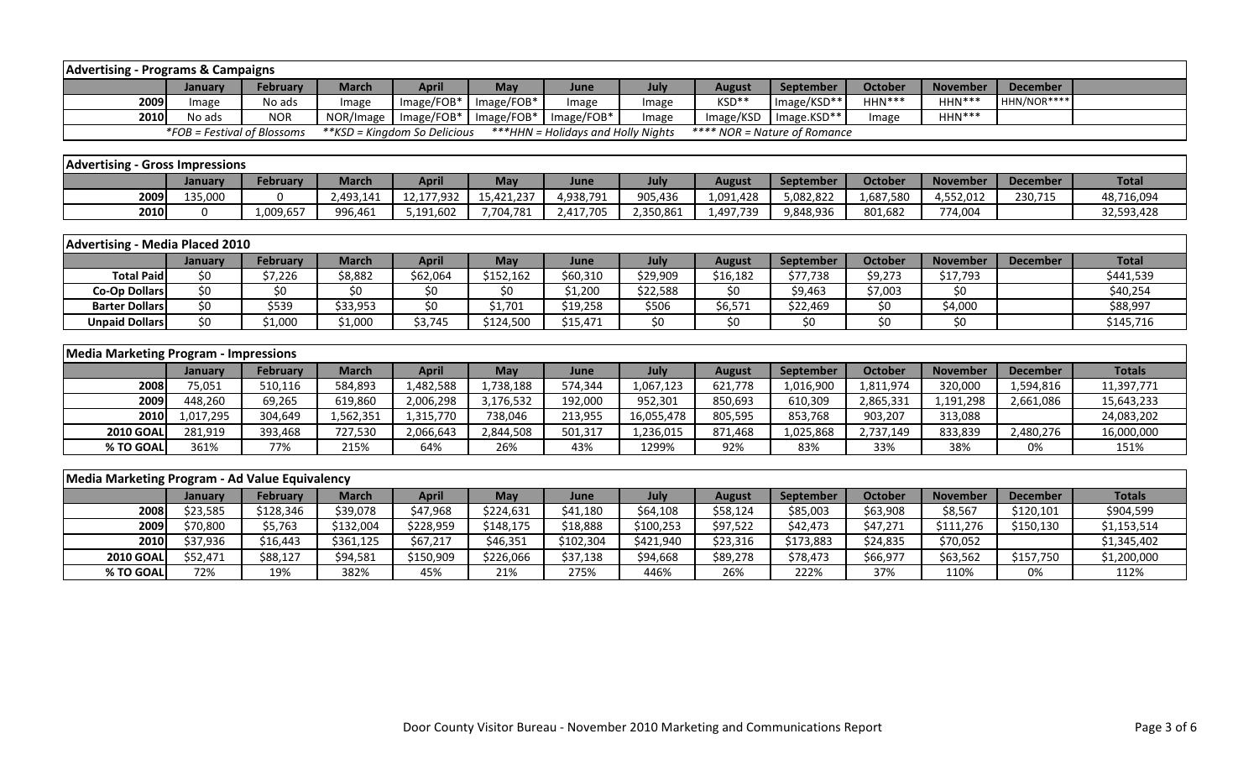|      | <b>Advertising - Programs &amp; Campaigns</b> |                 |           |                              |              |                                    |       |                              |             |                |                 |             |  |
|------|-----------------------------------------------|-----------------|-----------|------------------------------|--------------|------------------------------------|-------|------------------------------|-------------|----------------|-----------------|-------------|--|
|      | <b>January</b>                                | <b>February</b> | March     | <b>April</b>                 | May          | June                               | July  | <b>August</b>                | September   | <b>October</b> | <b>November</b> | December    |  |
| 2009 | Image                                         | No ads          | Image     | Image/FOB*                   | $Image/FOB*$ | Image                              | Image | KSD**                        | Image/KSD** | $HHN***$       | $HHN***$        | HHN/NOR**** |  |
| 2010 | No ads                                        | <b>NOR</b>      | NOR/Image | $Image/FOB*$                 | $Image/FOB*$ | $Image/FOB*$                       | Image | Image/KSD                    | Image.KSD** | Image          | $HHN***$        |             |  |
|      | $*FOB = Festival of Blossoms$                 |                 |           | **KSD = Kingdom So Delicious |              | ***HHN = Holidays and Holly Nights |       | **** NOR = Nature of Romance |             |                |                 |             |  |
|      |                                               |                 |           |                              |              |                                    |       |                              |             |                |                 |             |  |

| <b>Advertising - Gross Impressions</b> |         |           |              |            |            |           |             |           |           |                |                 |                 |              |
|----------------------------------------|---------|-----------|--------------|------------|------------|-----------|-------------|-----------|-----------|----------------|-----------------|-----------------|--------------|
|                                        | January | Februarv  | <b>March</b> | April      | May        | June      | <b>July</b> | August    | September | <b>October</b> | <b>November</b> | <b>December</b> | <b>Total</b> |
| 2009                                   | 135,000 |           | 2.493.141    | 12,177,932 | 15,421,237 | 4,938,791 | 905,436     | 1,091,428 | 5.082.822 | .687.580       | 4,552,012       | 230,715         | 48,716,094   |
| 2010                                   |         | 1.009.657 | 996,461      | 5,191,602  | 7,704,781  | 2,417,705 | 2,350,861   | 1.497.739 | 9,848,936 | 801,682        | 774.004         |                 | 32,593,428   |

|                       | Advertising - Media Placed 2010 |                 |          |              |           |          |          |          |                  |         |                 |                 |              |  |
|-----------------------|---------------------------------|-----------------|----------|--------------|-----------|----------|----------|----------|------------------|---------|-----------------|-----------------|--------------|--|
|                       | Januarv                         | <b>February</b> | March    | <b>April</b> | May       | June     | July     | August   | <b>September</b> | Octobe  | <b>November</b> | <b>December</b> | <b>Total</b> |  |
| <b>Total Paidl</b>    |                                 | 57,226          | \$8,882  | \$62,064     | \$152,162 | \$60,310 | \$29,909 | \$16,182 | \$77,738         | \$9,273 | \$17,793        |                 | \$441,539    |  |
| <b>Co-Op Dollars</b>  |                                 |                 |          |              |           | \$1,200  | \$22,588 |          | \$9,463          | \$7,003 | \$0             |                 | \$40,254     |  |
| <b>Barter Dollars</b> |                                 | \$539           | \$33,953 | S0           | 51,701    | \$19,258 | \$506    | \$6,571  | \$22,469         | \$0     | \$4,000         |                 | \$88,997     |  |
| <b>Unpaid Dollars</b> |                                 | 1,000ء          | .1,000   | \$3,745      | \$124,500 | \$15,471 |          |          | \$0              |         | \$0             |                 | \$145,716    |  |

|                  | Media Marketing Program - Impressions |          |              |           |            |         |            |               |                  |           |                 |                 |               |  |
|------------------|---------------------------------------|----------|--------------|-----------|------------|---------|------------|---------------|------------------|-----------|-----------------|-----------------|---------------|--|
|                  | <b>January</b>                        | February | <b>March</b> | April     | <b>May</b> | June    | July       | <b>August</b> | <b>September</b> | October   | <b>November</b> | <b>December</b> | <b>Totals</b> |  |
| 2008             | 75,051                                | 510,116  | 584,893      | 1,482,588 | 1,738,188  | 574,344 | 1,067,123  | 621,778       | 1,016,900        | 1,811,974 | 320,000         | 1,594,816       | 11,397,771    |  |
| 2009             | 448.260                               | 69,265   | 619,860      | 2,006,298 | 3,176,532  | 192,000 | 952.301    | 850,693       | 610,309          | 2,865,331 | 1,191,298       | 2,661,086       | 15,643,233    |  |
| <b>2010</b>      | 1,017,295                             | 304,649  | 1,562,351    | 1,315,770 | 738,046    | 213,955 | 16,055,478 | 805,595       | 853,768          | 903,207   | 313,088         |                 | 24,083,202    |  |
| <b>2010 GOAL</b> | 281,919                               | 393,468  | 727,530      | 2,066,643 | 2,844,508  | 501,317 | 1,236,015  | 871,468       | 1,025,868        | 2,737,149 | 833,839         | 2,480,276       | 16,000,000    |  |
| % TO GOAL        | 361%                                  | 77%      | 215%         | 64%       | 26%        | 43%     | 1299%      | 92%           | 83%              | 33%       | 38%             | 0%              | 151%          |  |

| Media Marketing Program - Ad Value Equivalency |                |                 |              |           |           |           |           |               |           |                |                 |           |               |
|------------------------------------------------|----------------|-----------------|--------------|-----------|-----------|-----------|-----------|---------------|-----------|----------------|-----------------|-----------|---------------|
|                                                | <b>January</b> | <b>February</b> | <b>March</b> | April     | May       | June      | July      | <b>August</b> | September | <b>October</b> | <b>November</b> | December  | <b>Totals</b> |
| 2008                                           | \$23,585       | \$128,346       | \$39,078     | \$47,968  | \$224,631 | \$41,180  | \$64,108  | \$58,124      | \$85,003  | \$63,908       | \$8,567         | \$120,101 | \$904,599     |
| 2009                                           | \$70,800       | \$5,763         | \$132,004    | \$228,959 | \$148,175 | \$18,888  | \$100,253 | \$97,522      | \$42,473  | \$47,271       | \$111,276       | \$150,130 | \$1,153,514   |
| 2010                                           | \$37,936       | \$16,443        | \$361,125    | \$67,217  | \$46,351  | \$102,304 | \$421,940 | \$23,316      | \$173,883 | \$24,835       | \$70,052        |           | \$1,345,402   |
| <b>2010 GOAL</b>                               | \$52.471       | \$88,127        | \$94,581     | \$150,909 | \$226,066 | \$37,138  | \$94,668  | \$89,278      | \$78,473  | \$66,977       | \$63,562        | \$157,750 | \$1,200,000   |
| % TO GOAL                                      | 72%            | 19%             | 382%         | 45%       | 21%       | 275%      | 446%      | 26%           | 222%      | 37%            | 110%            | 0%        | 112%          |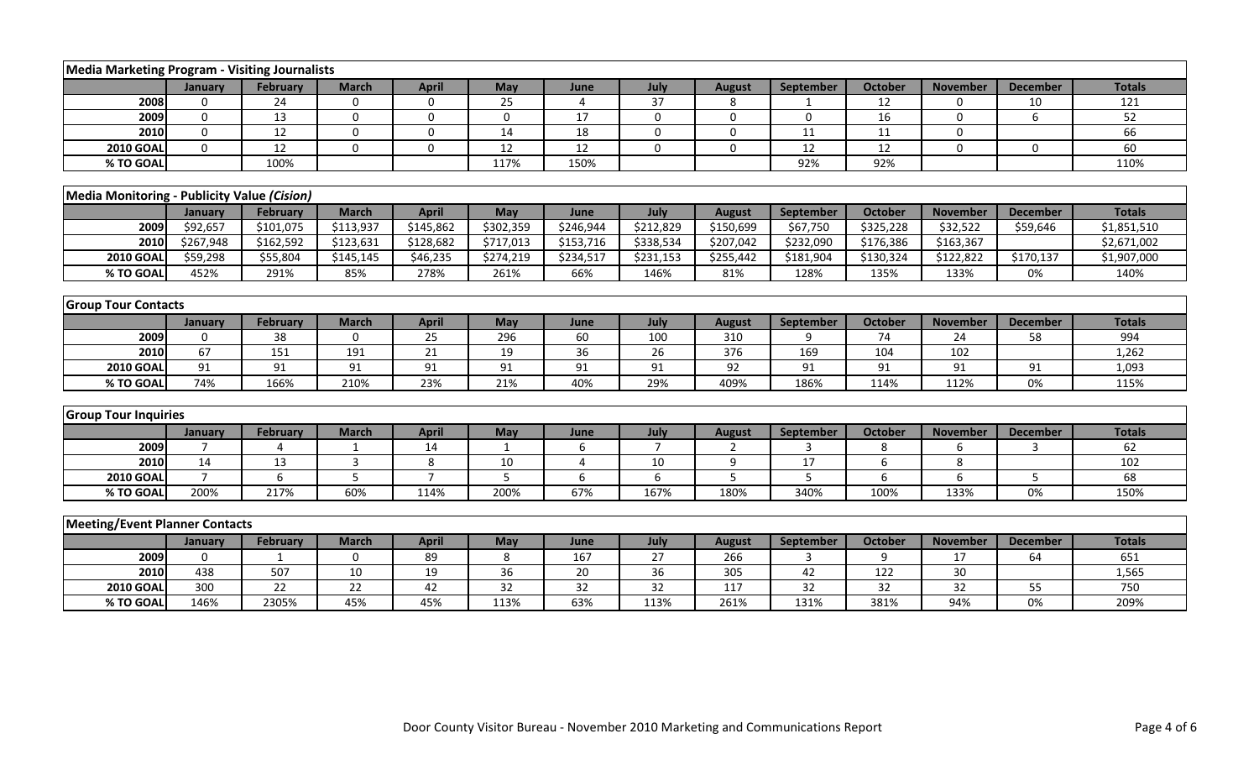| Media Marketing Program - Visiting Journalists |                |                 |                 |                  |                 |                 |                 |                |                  |                 |                 |                 |               |
|------------------------------------------------|----------------|-----------------|-----------------|------------------|-----------------|-----------------|-----------------|----------------|------------------|-----------------|-----------------|-----------------|---------------|
|                                                | January        | <b>February</b> | <b>March</b>    | <b>April</b>     | May             | June            | July            | <b>August</b>  | <b>September</b> | <b>October</b>  | <b>November</b> | <b>December</b> | <b>Totals</b> |
| 2008                                           | $\Omega$       | 24              | $\mathbf 0$     | 0                | 25              | $\overline{4}$  | 37              | 8              |                  | 12              | $\Omega$        | 10              | 121           |
| 2009                                           | $\Omega$       | $\overline{13}$ | $\Omega$        | $\mathbf 0$      | $\mathbf 0$     | $\overline{17}$ | $\Omega$        | $\Omega$       | $\mathbf 0$      | 16              | $\Omega$        | 6               | 52            |
| 2010                                           | $\mathbf 0$    | 12              | 0               | $\mathbf 0$      | 14              | 18              | $\mathbf 0$     | $\mathbf 0$    | 11               | 11              | $\Omega$        |                 | 66            |
| <b>2010 GOAL</b>                               | $\mathbf 0$    | 12              | 0               | $\boldsymbol{0}$ | 12              | 12              | $\mathbf 0$     | $\mathbf 0$    | 12               | 12              | $\Omega$        | 0               | 60            |
| % TO GOAL                                      |                | 100%            |                 |                  | 117%            | 150%            |                 |                | 92%              | 92%             |                 |                 | 110%          |
|                                                |                |                 |                 |                  |                 |                 |                 |                |                  |                 |                 |                 |               |
| Media Monitoring - Publicity Value (Cision)    |                |                 |                 |                  |                 |                 |                 |                |                  |                 |                 |                 |               |
|                                                | January        | February        | <b>March</b>    | <b>April</b>     | May             | June            | July            | <b>August</b>  | September        | October         | <b>November</b> | <b>December</b> | <b>Totals</b> |
| 2009                                           | \$92,657       | \$101.075       | \$113,937       | \$145,862        | \$302,359       | \$246,944       | \$212,829       | \$150,699      | \$67,750         | \$325,228       | \$32,522        | \$59,646        | \$1,851,510   |
| 2010                                           | \$267,948      | \$162,592       | \$123,631       | \$128,682        | \$717,013       | \$153,716       | \$338,534       | \$207,042      | \$232,090        | \$176,386       | \$163,367       |                 | \$2,671,002   |
| <b>2010 GOAL</b>                               | \$59,298       | \$55,804        | \$145,145       | \$46,235         | \$274,219       | \$234,517       | \$231,153       | \$255,442      | \$181,904        | \$130,324       | \$122,822       | \$170,137       | \$1,907,000   |
| % TO GOAL                                      | 452%           | 291%            | 85%             | 278%             | 261%            | 66%             | 146%            | 81%            | 128%             | 135%            | 133%            | 0%              | 140%          |
|                                                |                |                 |                 |                  |                 |                 |                 |                |                  |                 |                 |                 |               |
| <b>Group Tour Contacts</b>                     |                |                 |                 |                  |                 |                 |                 |                |                  |                 |                 |                 |               |
|                                                | January        | February        | <b>March</b>    | <b>April</b>     | May             | June            | July            | <b>August</b>  | September        | <b>October</b>  | <b>November</b> | <b>December</b> | <b>Totals</b> |
| 2009                                           | $\Omega$       | 38              | $\mathbf 0$     | 25               | 296             | 60              | 100             | 310            | q                | 74              | 24              | 58              | 994           |
| 2010                                           | 67             | 151             | 191             | 21               | 19              | 36              | $\overline{26}$ | 376            | 169              | 104             | 102             |                 | 1,262         |
| <b>2010 GOAL</b>                               | 91             | 91              | 91              | 91               | 91              | 91              | 91              | 92             | 91               | 91              | 91              | 91              | 1,093         |
| % TO GOAL                                      | 74%            | 166%            | 210%            | 23%              | 21%             | 40%             | 29%             | 409%           | 186%             | 114%            | 112%            | 0%              | 115%          |
|                                                |                |                 |                 |                  |                 |                 |                 |                |                  |                 |                 |                 |               |
| <b>Group Tour Inquiries</b>                    |                |                 |                 |                  |                 |                 |                 |                |                  |                 |                 |                 |               |
|                                                | January        | February        | <b>March</b>    | <b>April</b>     | May             | June            | July            | <b>August</b>  | September        | <b>October</b>  | <b>November</b> | <b>December</b> | <b>Totals</b> |
| 2009                                           | $\overline{7}$ | $\Delta$        | -1              | 14               | 1               | 6               | -7              | $\overline{2}$ | 3                | 8               | 6               | 3               | 62            |
| 2010                                           | 14             | 13              | 3               | 8                | 10              | $\overline{4}$  | 10              | 9              | 17               | 6               | 8               |                 | 102           |
| <b>2010 GOAL</b>                               | $\overline{7}$ | $6\phantom{1}6$ | 5               | $\overline{7}$   | 5               | 6               | 6               | 5              | 5                | 6               | 6               | 5               | 68            |
| % TO GOAL                                      | 200%           | 217%            | 60%             | 114%             | 200%            | 67%             | 167%            | 180%           | 340%             | 100%            | 133%            | 0%              | 150%          |
|                                                |                |                 |                 |                  |                 |                 |                 |                |                  |                 |                 |                 |               |
| <b>Meeting/Event Planner Contacts</b>          |                |                 |                 |                  |                 |                 |                 |                |                  |                 |                 |                 |               |
|                                                | January        | <b>February</b> | <b>March</b>    | <b>April</b>     | May             | June            | July            | <b>August</b>  | September        | <b>October</b>  | <b>November</b> | <b>December</b> | <b>Totals</b> |
| 2009                                           | $\Omega$       |                 | 0               | 89               | 8               | 167             | 27              | 266            | 3                | 9               | 17              | 64              | 651           |
| 2010                                           | 438            | 507             | 10              | 19               | 36              | 20              | 36              | 305            | 42               | 122             | 30              |                 | 1,565         |
| <b>2010 GOAL</b>                               | 300            | $\overline{22}$ | $\overline{22}$ | 42               | $\overline{32}$ | 32              | 32              | 117            | $\overline{32}$  | $\overline{32}$ | $\overline{32}$ | 55              | 750           |
| % TO GOAL                                      | 146%           | 2305%           | 45%             | 45%              | 113%            | 63%             | 113%            | 261%           | 131%             | 381%            | 94%             | 0%              | 209%          |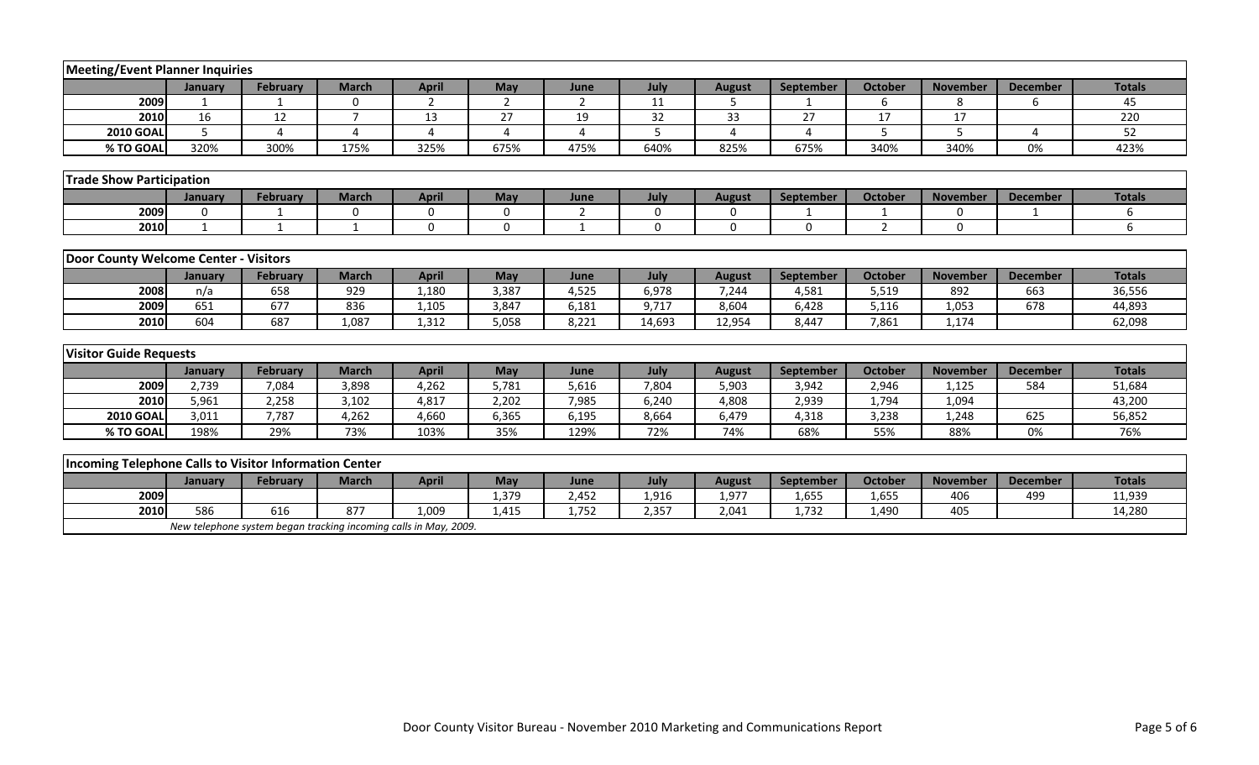| <b>Meeting/Event Planner Inquiries</b>                        |                |                                                                  |                |                |                |                |          |               |                  |                |                 |                 |               |
|---------------------------------------------------------------|----------------|------------------------------------------------------------------|----------------|----------------|----------------|----------------|----------|---------------|------------------|----------------|-----------------|-----------------|---------------|
|                                                               | January        | <b>February</b>                                                  | <b>March</b>   | <b>April</b>   | May            | June           | July     | <b>August</b> | <b>September</b> | <b>October</b> | <b>November</b> | <b>December</b> | <b>Totals</b> |
| 2009                                                          | $\mathbf{1}$   | $\mathbf 1$                                                      | $\mathbf 0$    | $\overline{2}$ | $\overline{2}$ | $\overline{2}$ | 11       | 5             |                  | 6              | 8               | 6               | 45            |
| 2010                                                          | 16             | 12                                                               | $\overline{7}$ | 13             | 27             | 19             | 32       | 33            | 27               | 17             | 17              |                 | 220           |
| <b>2010 GOAL</b>                                              | $\overline{5}$ | $\Delta$                                                         | 4              | 4              | 4              | 4              | 5        | 4             | $\Delta$         | 5              | 5               | $\overline{a}$  | 52            |
| % TO GOAL                                                     | 320%           | 300%                                                             | 175%           | 325%           | 675%           | 475%           | 640%     | 825%          | 675%             | 340%           | 340%            | 0%              | 423%          |
|                                                               |                |                                                                  |                |                |                |                |          |               |                  |                |                 |                 |               |
| <b>Trade Show Participation</b>                               |                |                                                                  |                |                |                |                |          |               |                  |                |                 |                 |               |
|                                                               | January        | February                                                         | <b>March</b>   | <b>April</b>   | May            | June           | July     | <b>August</b> | September        | <b>October</b> | <b>November</b> | <b>December</b> | <b>Totals</b> |
| 2009                                                          | $\mathbf 0$    |                                                                  | $\mathbf 0$    | $\mathbf 0$    | $\mathbf 0$    | $\overline{2}$ | 0        | 0             |                  |                | $\mathbf 0$     |                 | 6             |
| 2010                                                          | $\mathbf{1}$   | 1                                                                | $\mathbf{1}$   | $\Omega$       | $\Omega$       | $\mathbf{1}$   | $\Omega$ | $\Omega$      | $\Omega$         | 2              | 0               |                 | 6             |
|                                                               |                |                                                                  |                |                |                |                |          |               |                  |                |                 |                 |               |
| Door County Welcome Center - Visitors                         |                |                                                                  |                |                |                |                |          |               |                  |                |                 |                 |               |
|                                                               | January        | February                                                         | <b>March</b>   | <b>April</b>   | May            | June           | July     | <b>August</b> | September        | <b>October</b> | <b>November</b> | <b>December</b> | <b>Totals</b> |
| 2008                                                          | n/a            | 658                                                              | 929            | 1,180          | 3,387          | 4,525          | 6,978    | 7,244         | 4,581            | 5,519          | 892             | 663             | 36,556        |
| 2009                                                          | 651            | 677                                                              | 836            | 1,105          | 3,847          | 6,181          | 9,717    | 8,604         | 6,428            | 5,116          | 1,053           | 678             | 44,893        |
| 2010                                                          | 604            | 687                                                              | 1,087          | 1,312          | 5,058          | 8,221          | 14,693   | 12,954        | 8,447            | 7,861          | 1,174           |                 | 62,098        |
|                                                               |                |                                                                  |                |                |                |                |          |               |                  |                |                 |                 |               |
| <b>Visitor Guide Requests</b>                                 |                |                                                                  |                |                |                |                |          |               |                  |                |                 |                 |               |
|                                                               | January        | <b>February</b>                                                  | <b>March</b>   | <b>April</b>   | May            | June           | July     | <b>August</b> | September        | <b>October</b> | <b>November</b> | <b>December</b> | <b>Totals</b> |
| 2009                                                          | 2,739          | 7,084                                                            | 3,898          | 4,262          | 5,781          | 5,616          | 7,804    | 5,903         | 3,942            | 2,946          | 1,125           | 584             | 51,684        |
| 2010                                                          | 5,961          | 2,258                                                            | 3,102          | 4,817          | 2,202          | 7,985          | 6,240    | 4,808         | 2,939            | 1,794          | 1,094           |                 | 43,200        |
| <b>2010 GOAL</b>                                              | 3,011          | 7,787                                                            | 4,262          | 4,660          | 6,365          | 6,195          | 8,664    | 6,479         | 4,318            | 3,238          | 1,248           | 625             | 56,852        |
| % TO GOAL                                                     | 198%           | 29%                                                              | 73%            | 103%           | 35%            | 129%           | 72%      | 74%           | 68%              | 55%            | 88%             | 0%              | 76%           |
|                                                               |                |                                                                  |                |                |                |                |          |               |                  |                |                 |                 |               |
| <b>Incoming Telephone Calls to Visitor Information Center</b> |                |                                                                  |                |                |                |                |          |               |                  |                |                 |                 |               |
|                                                               | January        | <b>February</b>                                                  | <b>March</b>   | <b>April</b>   | May            | June           | July     | <b>August</b> | September        | <b>October</b> | <b>November</b> | <b>December</b> | <b>Totals</b> |
| 2009                                                          |                |                                                                  |                |                | 1,379          | 2,452          | 1,916    | 1,977         | 1,655            | 1,655          | 406             | 499             | 11,939        |
| 2010                                                          | 586            | 616                                                              | 877            | 1,009          | 1,415          | 1,752          | 2,357    | 2,041         | 1,732            | 1,490          | 405             |                 | 14,280        |
|                                                               |                | New telephone system began tracking incoming calls in May, 2009. |                |                |                |                |          |               |                  |                |                 |                 |               |